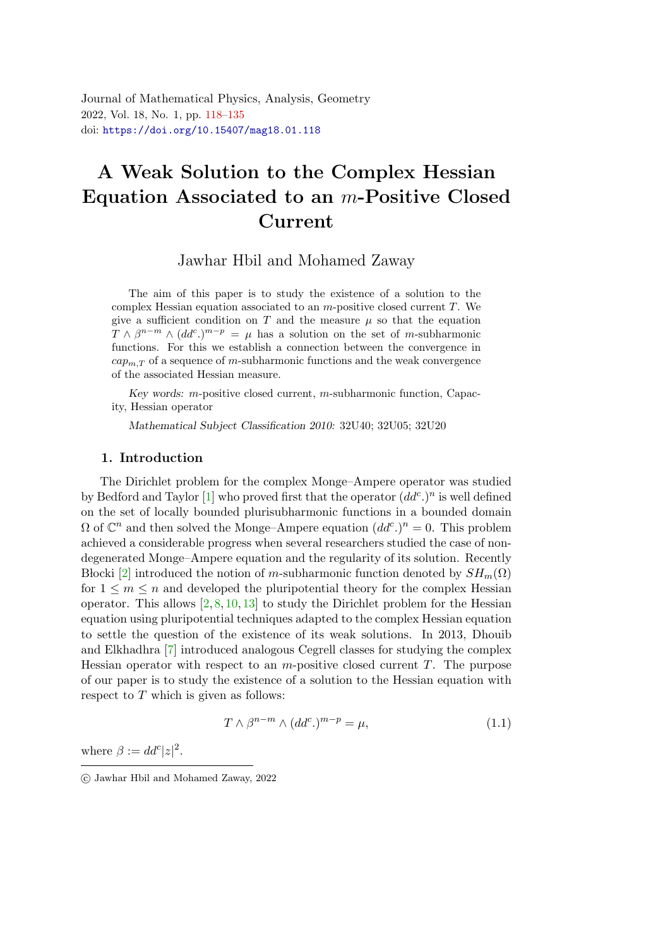<span id="page-0-0"></span>Journal of Mathematical Physics, Analysis, Geometry 2022, Vol. 18, No. 1, pp. [118](#page-0-0)[–135](#page-17-0) doi: <https://doi.org/10.15407/mag18.01.118>

# A Weak Solution to the Complex Hessian Equation Associated to an m-Positive Closed Curren[t](#page-0-1)

Jawhar Hbil and Mohamed Zaway

The aim of this paper is to study the existence of a solution to the complex Hessian equation associated to an  $m$ -positive closed current  $T$ . We give a sufficient condition on T and the measure  $\mu$  so that the equation  $T \wedge \beta^{n-m} \wedge (dd^c)^{m-p} = \mu$  has a solution on the set of m-subharmonic functions. For this we establish a connection between the convergence in  $cap_{m,T}$  of a sequence of m-subharmonic functions and the weak convergence of the associated Hessian measure.

Key words:  $m$ -positive closed current,  $m$ -subharmonic function, Capacity, Hessian operator

Mathematical Subject Classification 2010: 32U40; 32U05; 32U20

#### 1. Introduction

The Dirichlet problem for the complex Monge–Ampere operator was studied by Bedford and Taylor [\[1\]](#page-16-0) who proved first that the operator  $(dd^c)^n$  is well defined on the set of locally bounded plurisubharmonic functions in a bounded domain  $\Omega$  of  $\mathbb{C}^n$  and then solved the Monge-Ampere equation  $(dd^c)^n=0$ . This problem achieved a considerable progress when several researchers studied the case of nondegenerated Monge–Ampere equation and the regularity of its solution. Recently Blocki [\[2\]](#page-16-1) introduced the notion of m-subharmonic function denoted by  $SH_m(\Omega)$ for  $1 \leq m \leq n$  and developed the pluripotential theory for the complex Hessian operator. This allows  $[2, 8, 10, 13]$  $[2, 8, 10, 13]$  $[2, 8, 10, 13]$  $[2, 8, 10, 13]$  $[2, 8, 10, 13]$  $[2, 8, 10, 13]$  $[2, 8, 10, 13]$  to study the Dirichlet problem for the Hessian equation using pluripotential techniques adapted to the complex Hessian equation to settle the question of the existence of its weak solutions. In 2013, Dhouib and Elkhadhra [\[7\]](#page-16-5) introduced analogous Cegrell classes for studying the complex Hessian operator with respect to an  $m$ -positive closed current  $T$ . The purpose of our paper is to study the existence of a solution to the Hessian equation with respect to  $T$  which is given as follows:

<span id="page-0-2"></span>
$$
T \wedge \beta^{n-m} \wedge (dd^c) ^{m-p} = \mu, \qquad (1.1)
$$

where  $\beta := dd^c |z|^2$ .

<span id="page-0-1"></span>c Jawhar Hbil and Mohamed Zaway, 2022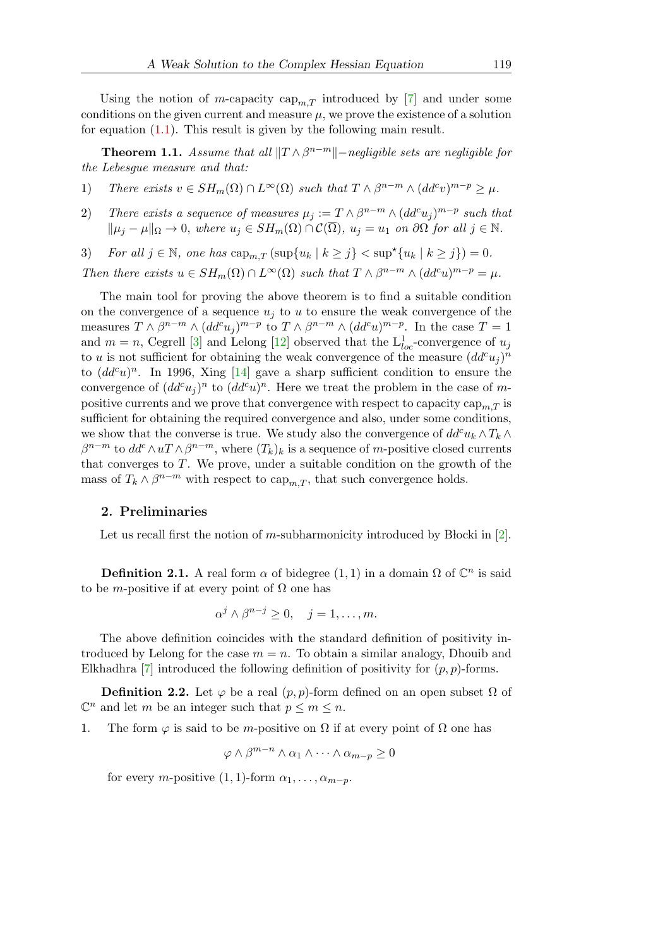Using the notion of m-capacity  $\text{cap}_{m,T}$  introduced by [\[7\]](#page-16-5) and under some conditions on the given current and measure  $\mu$ , we prove the existence of a solution for equation  $(1.1)$ . This result is given by the following main result.

<span id="page-1-0"></span>**Theorem 1.1.** Assume that all  $||T \wedge \beta^{n-m}||$ -negligible sets are negligible for the Lebesgue measure and that:

- <span id="page-1-1"></span>1) There exists  $v \in SH_m(\Omega) \cap L^{\infty}(\Omega)$  such that  $T \wedge \beta^{n-m} \wedge (dd^c v)^{m-p} \ge \mu$ .
- 2) There exists a sequence of measures  $\mu_j := T \wedge \beta^{n-m} \wedge (dd^c u_j)^{m-p}$  such that  $\|\mu_i - \mu\|_{\Omega} \to 0$ , where  $u_j \in SH_m(\Omega) \cap C(\overline{\Omega})$ ,  $u_j = u_1$  on  $\partial\Omega$  for all  $j \in \mathbb{N}$ .
- 3) For all  $j \in \mathbb{N}$ , one has  $\text{cap}_{m,T} (\text{sup}\{u_k \mid k \geq j\} < \text{sup}^{\star} \{u_k \mid k \geq j\}) = 0$ .

Then there exists 
$$
u \in SH_m(\Omega) \cap L^{\infty}(\Omega)
$$
 such that  $T \wedge \beta^{n-m} \wedge (dd^c u)^{m-p} = \mu$ .

The main tool for proving the above theorem is to find a suitable condition on the convergence of a sequence  $u_i$  to u to ensure the weak convergence of the measures  $T \wedge \beta^{n-m} \wedge (dd^c u_j)^{m-p}$  to  $T \wedge \beta^{n-m} \wedge (dd^c u)^{m-p}$ . In the case  $T = 1$ and  $m = n$ , Cegrell [\[3\]](#page-16-6) and Lelong [\[12\]](#page-16-7) observed that the  $\mathbb{L}^1_{loc}$ -convergence of  $u_j$ to u is not sufficient for obtaining the weak convergence of the measure  $(dd^c u_j)^n$ to  $(dd^c u)^n$ . In 1996, Xing [\[14\]](#page-16-8) gave a sharp sufficient condition to ensure the convergence of  $(dd^c u_j)^n$  to  $(dd^c u)^n$ . Here we treat the problem in the case of mpositive currents and we prove that convergence with respect to capacity  $\text{cap}_{m,T}$  is sufficient for obtaining the required convergence and also, under some conditions, we show that the converse is true. We study also the convergence of  $dd^c u_k \wedge T_k \wedge T_k$  $\beta^{n-m}$  to  $dd^c \wedge u \mathcal{T} \wedge \beta^{n-m}$ , where  $(T_k)_k$  is a sequence of m-positive closed currents that converges to T. We prove, under a suitable condition on the growth of the mass of  $T_k \wedge \beta^{n-m}$  with respect to  $\text{cap}_{m,T}$ , that such convergence holds.

#### 2. Preliminaries

Let us recall first the notion of m-subharmonicity introduced by Blocki in  $[2]$ .

**Definition 2.1.** A real form  $\alpha$  of bidegree  $(1, 1)$  in a domain  $\Omega$  of  $\mathbb{C}^n$  is said to be *m*-positive if at every point of  $\Omega$  one has

$$
\alpha^j \wedge \beta^{n-j} \ge 0, \quad j = 1, \dots, m.
$$

The above definition coincides with the standard definition of positivity introduced by Lelong for the case  $m = n$ . To obtain a similar analogy, Dhouib and Elkhadhra [\[7\]](#page-16-5) introduced the following definition of positivity for  $(p, p)$ -forms.

**Definition 2.2.** Let  $\varphi$  be a real  $(p, p)$ -form defined on an open subset  $\Omega$  of  $\mathbb{C}^n$  and let m be an integer such that  $p \leq m \leq n$ .

1. The form  $\varphi$  is said to be m-positive on  $\Omega$  if at every point of  $\Omega$  one has

$$
\varphi \wedge \beta^{m-n} \wedge \alpha_1 \wedge \cdots \wedge \alpha_{m-p} \ge 0
$$

for every *m*-positive  $(1, 1)$ -form  $\alpha_1, \ldots, \alpha_{m-p}$ .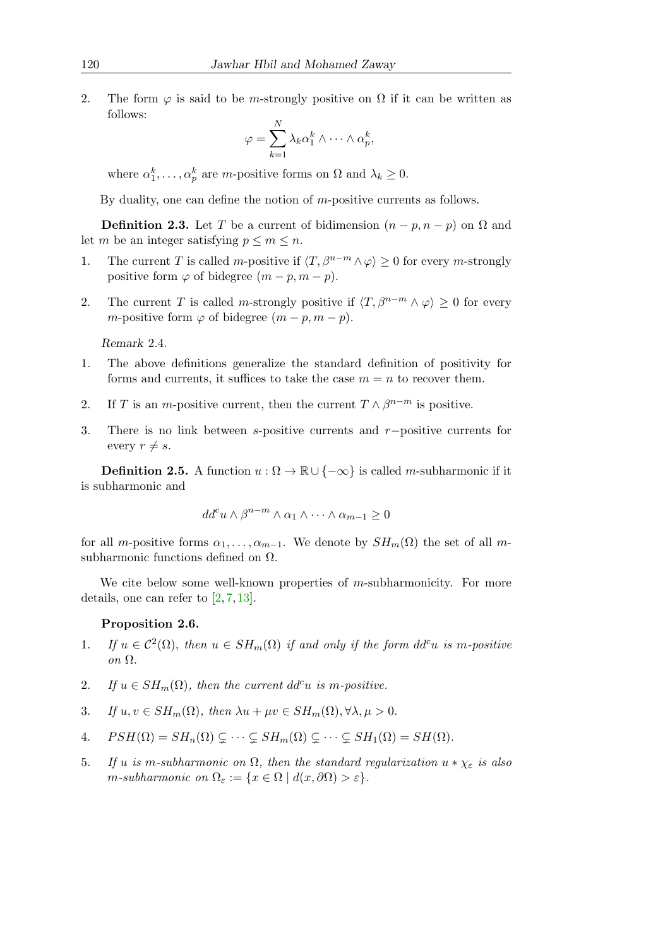2. The form  $\varphi$  is said to be m-strongly positive on  $\Omega$  if it can be written as follows:

$$
\varphi = \sum_{k=1}^{N} \lambda_k \alpha_1^k \wedge \dots \wedge \alpha_p^k,
$$

where  $\alpha_1^k, \ldots, \alpha_p^k$  are *m*-positive forms on  $\Omega$  and  $\lambda_k \geq 0$ .

By duality, one can define the notion of m-positive currents as follows.

**Definition 2.3.** Let T be a current of bidimension  $(n - p, n - p)$  on  $\Omega$  and let m be an integer satisfying  $p \leq m \leq n$ .

- 1. The current T is called m-positive if  $\langle T, \beta^{n-m} \wedge \varphi \rangle \geq 0$  for every m-strongly positive form  $\varphi$  of bidegree  $(m - p, m - p)$ .
- 2. The current T is called m-strongly positive if  $\langle T, \beta^{n-m} \wedge \varphi \rangle \geq 0$  for every m-positive form  $\varphi$  of bidegree  $(m - p, m - p)$ .

Remark 2.4.

- 1. The above definitions generalize the standard definition of positivity for forms and currents, it suffices to take the case  $m = n$  to recover them.
- 2. If T is an m-positive current, then the current  $T \wedge \beta^{n-m}$  is positive.
- 3. There is no link between s-positive currents and r−positive currents for every  $r \neq s$ .

**Definition 2.5.** A function  $u : \Omega \to \mathbb{R} \cup \{-\infty\}$  is called *m*-subharmonic if it is subharmonic and

$$
dd^c u \wedge \beta^{n-m} \wedge \alpha_1 \wedge \cdots \wedge \alpha_{m-1} \ge 0
$$

for all m-positive forms  $\alpha_1, \ldots, \alpha_{m-1}$ . We denote by  $SH_m(\Omega)$  the set of all msubharmonic functions defined on  $\Omega$ .

We cite below some well-known properties of  $m$ -subharmonicity. For more details, one can refer to [\[2,](#page-16-1) [7,](#page-16-5) [13\]](#page-16-4).

#### Proposition 2.6.

- 1. If  $u \in C^2(\Omega)$ , then  $u \in SH_m(\Omega)$  if and only if the form  $dd^c u$  is m-positive on Ω.
- 2. If  $u \in SH_m(\Omega)$ , then the current dd<sup>c</sup>u is m-positive.
- 3. If  $u, v \in SH_m(\Omega)$ , then  $\lambda u + \mu v \in SH_m(\Omega), \forall \lambda, \mu > 0$ .
- 4.  $PSH(\Omega) = SH_n(\Omega) \subsetneq \cdots \subsetneq SH_m(\Omega) \subsetneq \cdots \subsetneq SH_1(\Omega) = SH(\Omega).$
- 5. If u is m-subharmonic on  $\Omega$ , then the standard regularization  $u * \chi_{\varepsilon}$  is also m-subharmonic on  $\Omega_{\varepsilon} := \{x \in \Omega \mid d(x, \partial \Omega) > \varepsilon\}.$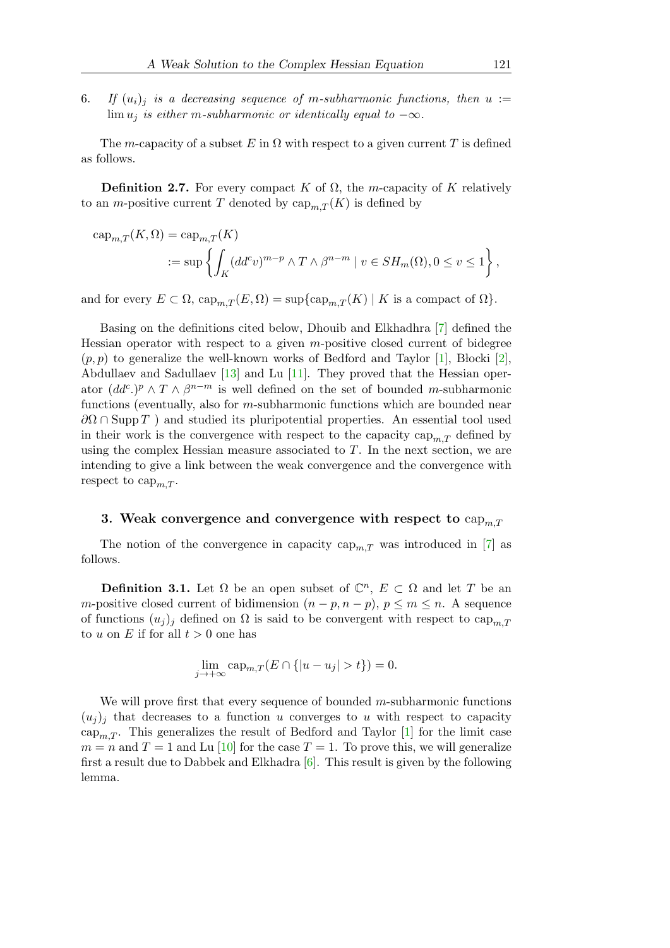6. If  $(u_i)_i$  is a decreasing sequence of m-subharmonic functions, then  $u :=$  $\lim u_i$  is either m-subharmonic or identically equal to  $-\infty$ .

The m-capacity of a subset E in  $\Omega$  with respect to a given current T is defined as follows.

**Definition 2.7.** For every compact K of  $\Omega$ , the m-capacity of K relatively to an *m*-positive current T denoted by  $\text{cap}_{m} T(K)$  is defined by

$$
\begin{aligned} \operatorname{cap}_{m,T}(K,\Omega) &= \operatorname{cap}_{m,T}(K) \\ &:= \sup \left\{ \int_K (dd^c v)^{m-p} \wedge T \wedge \beta^{n-m} \mid v \in SH_m(\Omega), 0 \le v \le 1 \right\}, \end{aligned}
$$

and for every  $E \subset \Omega$ ,  $\text{cap}_{m,T}(E,\Omega) = \sup \{ \text{cap}_{m,T}(K) \mid K \text{ is a compact of } \Omega \}.$ 

Basing on the definitions cited below, Dhouib and Elkhadhra [\[7\]](#page-16-5) defined the Hessian operator with respect to a given  $m$ -positive closed current of bidegree  $(p, p)$  to generalize the well-known works of Bedford and Taylor [\[1\]](#page-16-0), Blocki [\[2\]](#page-16-1), Abdullaev and Sadullaev [\[13\]](#page-16-4) and Lu [\[11\]](#page-16-9). They proved that the Hessian operator  $(dd^c)^\rho \wedge T \wedge \beta^{n-m}$  is well defined on the set of bounded m-subharmonic functions (eventually, also for m-subharmonic functions which are bounded near  $\partial\Omega \cap \text{Supp } T$ ) and studied its pluripotential properties. An essential tool used in their work is the convergence with respect to the capacity  $\text{cap}_{m,T}$  defined by using the complex Hessian measure associated to  $T$ . In the next section, we are intending to give a link between the weak convergence and the convergence with respect to  $cap_{m,T}$ .

#### 3. Weak convergence and convergence with respect to  $\text{cap}_{m,T}$

The notion of the convergence in capacity  $cap_{m,T}$  was introduced in [\[7\]](#page-16-5) as follows.

**Definition 3.1.** Let  $\Omega$  be an open subset of  $\mathbb{C}^n$ ,  $E \subset \Omega$  and let T be an m-positive closed current of bidimension  $(n - p, n - p)$ ,  $p \leq m \leq n$ . A sequence of functions  $(u_i)_i$  defined on  $\Omega$  is said to be convergent with respect to cap<sub>m</sub> $_T$ to u on E if for all  $t > 0$  one has

$$
\lim_{j \to +\infty} \text{cap}_{m,T}(E \cap \{|u - u_j| > t\}) = 0.
$$

We will prove first that every sequence of bounded  $m$ -subharmonic functions  $(u_i)_i$  that decreases to a function u converges to u with respect to capacity cap<sub>m,T</sub>. This generalizes the result of Bedford and Taylor [\[1\]](#page-16-0) for the limit case  $m = n$  and  $T = 1$  and Lu [\[10\]](#page-16-3) for the case  $T = 1$ . To prove this, we will generalize first a result due to Dabbek and Elkhadra  $[6]$ . This result is given by the following lemma.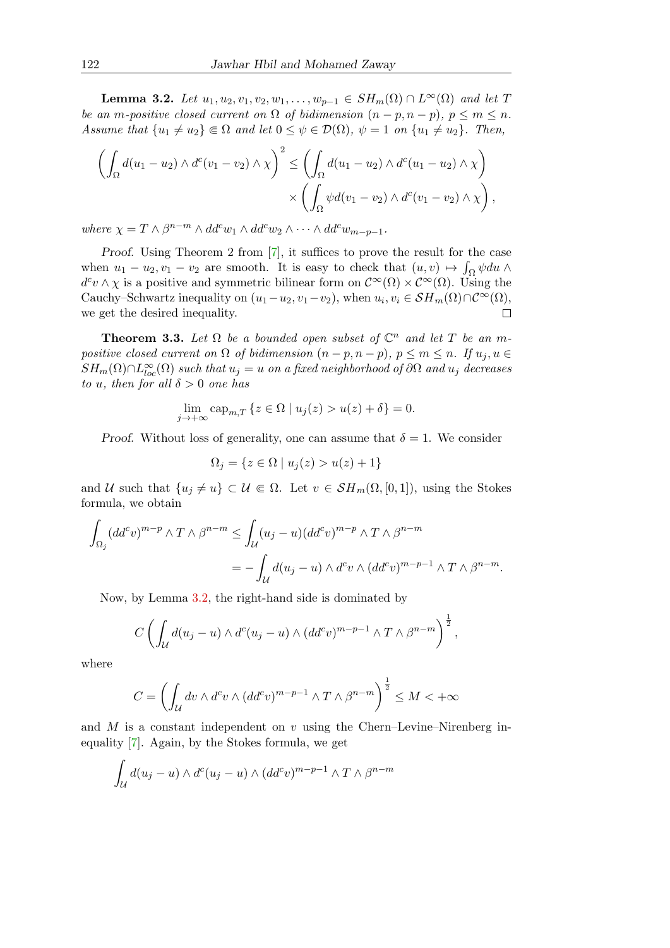<span id="page-4-0"></span>**Lemma 3.2.** Let  $u_1, u_2, v_1, v_2, w_1, \ldots, w_{p-1} \in SH_m(\Omega) \cap L^{\infty}(\Omega)$  and let T be an m-positive closed current on  $\Omega$  of bidimension  $(n - p, n - p)$ ,  $p \leq m \leq n$ . Assume that  $\{u_1 \neq u_2\} \Subset \Omega$  and let  $0 \leq \psi \in \mathcal{D}(\Omega)$ ,  $\psi = 1$  on  $\{u_1 \neq u_2\}$ . Then,

$$
\left(\int_{\Omega} d(u_1 - u_2) \wedge d^c(v_1 - v_2) \wedge \chi\right)^2 \le \left(\int_{\Omega} d(u_1 - u_2) \wedge d^c(u_1 - u_2) \wedge \chi\right) \times \left(\int_{\Omega} \psi d(v_1 - v_2) \wedge d^c(v_1 - v_2) \wedge \chi\right),
$$

where  $\chi = T \wedge \beta^{n-m} \wedge dd^c w_1 \wedge dd^c w_2 \wedge \cdots \wedge dd^c w_{m-p-1}.$ 

Proof. Using Theorem 2 from [\[7\]](#page-16-5), it suffices to prove the result for the case when  $u_1 - u_2, v_1 - v_2$  are smooth. It is easy to check that  $(u, v) \mapsto \int_{\Omega} \psi du \wedge$  $d^c v \wedge \chi$  is a positive and symmetric bilinear form on  $\mathcal{C}^{\infty}(\Omega) \times \mathcal{C}^{\infty}(\Omega)$ . Using the Cauchy–Schwartz inequality on  $(u_1-u_2, v_1-v_2)$ , when  $u_i, v_i \in \mathcal{SH}_m(\Omega) \cap \mathcal{C}^{\infty}(\Omega)$ , we get the desired inequality.  $\Box$ 

**Theorem 3.3.** Let  $\Omega$  be a bounded open subset of  $\mathbb{C}^n$  and let T be an mpositive closed current on  $\Omega$  of bidimension  $(n-p, n-p)$ ,  $p \leq m \leq n$ . If  $u_j, u \in$  $SH_m(\Omega) \cap L^\infty_{loc}(\Omega)$  such that  $u_j = u$  on a fixed neighborhood of  $\partial \Omega$  and  $u_j$  decreases to u, then for all  $\delta > 0$  one has

$$
\lim_{j \to +\infty} \operatorname{cap}_{m,T} \left\{ z \in \Omega \mid u_j(z) > u(z) + \delta \right\} = 0.
$$

Proof. Without loss of generality, one can assume that  $\delta = 1$ . We consider

$$
\Omega_j = \{ z \in \Omega \mid u_j(z) > u(z) + 1 \}
$$

and U such that  $\{u_i \neq u\} \subset \mathcal{U} \Subset \Omega$ . Let  $v \in \mathcal{S}H_m(\Omega, [0, 1])$ , using the Stokes formula, we obtain

$$
\int_{\Omega_j} (dd^c v)^{m-p} \wedge T \wedge \beta^{n-m} \le \int_{\mathcal{U}} (u_j - u)(dd^c v)^{m-p} \wedge T \wedge \beta^{n-m}
$$
  
= 
$$
- \int_{\mathcal{U}} d(u_j - u) \wedge d^c v \wedge (dd^c v)^{m-p-1} \wedge T \wedge \beta^{n-m}.
$$

Now, by Lemma [3.2,](#page-4-0) the right-hand side is dominated by

$$
C\left(\int_{\mathcal{U}}d(u_j-u)\wedge d^c(u_j-u)\wedge (dd^c v)^{m-p-1}\wedge T\wedge\beta^{n-m}\right)^{\frac{1}{2}},
$$

where

$$
C = \left(\int_{\mathcal{U}} dv \wedge d^c v \wedge (dd^c v)^{m-p-1} \wedge T \wedge \beta^{n-m}\right)^{\frac{1}{2}} \le M < +\infty
$$

and M is a constant independent on v using the Chern–Levine–Nirenberg inequality [\[7\]](#page-16-5). Again, by the Stokes formula, we get

$$
\int_{\mathcal{U}} d(u_j - u) \wedge d^c(u_j - u) \wedge (dd^c v)^{m-p-1} \wedge T \wedge \beta^{n-m}
$$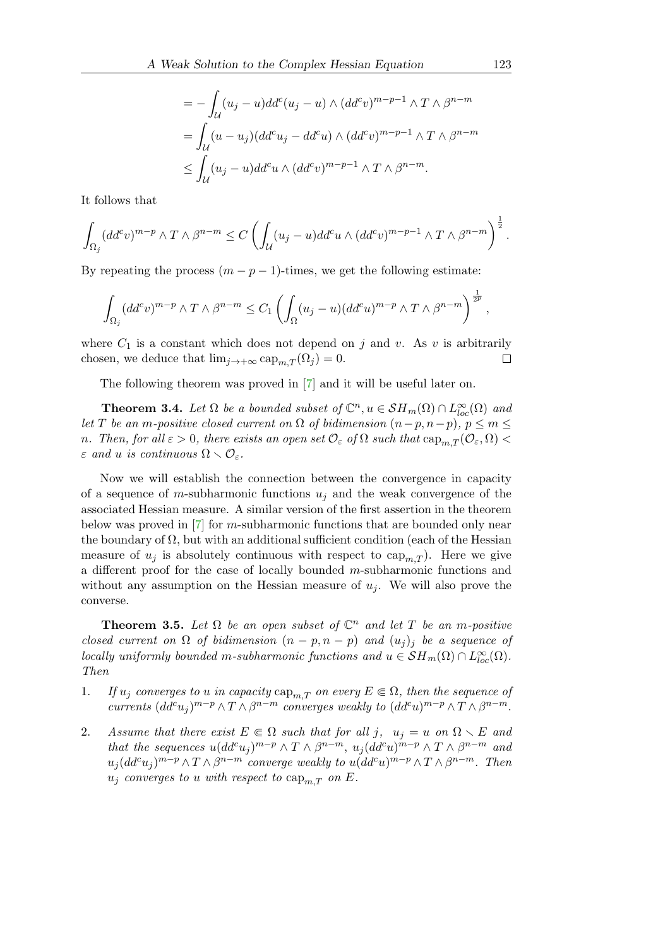$$
= -\int_{\mathcal{U}} (u_j - u)dd^c (u_j - u) \wedge (dd^c v)^{m - p - 1} \wedge T \wedge \beta^{n - m}
$$
  
= 
$$
\int_{\mathcal{U}} (u - u_j)(dd^c u_j - dd^c u) \wedge (dd^c v)^{m - p - 1} \wedge T \wedge \beta^{n - m}
$$
  

$$
\leq \int_{\mathcal{U}} (u_j - u)dd^c u \wedge (dd^c v)^{m - p - 1} \wedge T \wedge \beta^{n - m}.
$$

It follows that

$$
\int_{\Omega_j} (dd^c v)^{m-p} \wedge T \wedge \beta^{n-m} \le C \left( \int_{\mathcal{U}} (u_j - u) dd^c u \wedge (dd^c v)^{m-p-1} \wedge T \wedge \beta^{n-m} \right)^{\frac{1}{2}}.
$$

By repeating the process  $(m - p - 1)$ -times, we get the following estimate:

$$
\int_{\Omega_j} (dd^c v)^{m-p} \wedge T \wedge \beta^{n-m} \le C_1 \left( \int_{\Omega} (u_j - u) (dd^c u)^{m-p} \wedge T \wedge \beta^{n-m} \right)^{\frac{1}{2p}},
$$

where  $C_1$  is a constant which does not depend on j and v. As v is arbitrarily chosen, we deduce that  $\lim_{j\to+\infty} \text{cap}_{m,T}(\Omega_j)=0$ .  $\Box$ 

The following theorem was proved in [\[7\]](#page-16-5) and it will be useful later on.

<span id="page-5-1"></span>**Theorem 3.4.** Let  $\Omega$  be a bounded subset of  $\mathbb{C}^n, u \in \mathcal{SH}_m(\Omega) \cap L^{\infty}_{loc}(\Omega)$  and let T be an m-positive closed current on  $\Omega$  of bidimension  $(n-p, n-p)$ ,  $p \leq m \leq$ n. Then, for all  $\varepsilon > 0$ , there exists an open set  $\mathcal{O}_{\varepsilon}$  of  $\Omega$  such that  $\text{cap}_{m,T}(\mathcal{O}_{\varepsilon}, \Omega)$  $\varepsilon$  and u is continuous  $\Omega \setminus \mathcal{O}_{\varepsilon}$ .

Now we will establish the connection between the convergence in capacity of a sequence of m-subharmonic functions  $u_j$  and the weak convergence of the associated Hessian measure. A similar version of the first assertion in the theorem below was proved in [\[7\]](#page-16-5) for m-subharmonic functions that are bounded only near the boundary of  $\Omega$ , but with an additional sufficient condition (each of the Hessian measure of  $u_j$  is absolutely continuous with respect to  $cap_{m,T}$ ). Here we give a different proof for the case of locally bounded m-subharmonic functions and without any assumption on the Hessian measure of  $u_i$ . We will also prove the converse.

<span id="page-5-3"></span>**Theorem 3.5.** Let  $\Omega$  be an open subset of  $\mathbb{C}^n$  and let T be an m-positive closed current on  $\Omega$  of bidimension  $(n - p, n - p)$  and  $(u_i)_j$  be a sequence of locally uniformly bounded m-subharmonic functions and  $u \in \mathcal{S}H_m(\Omega) \cap L^{\infty}_{loc}(\Omega)$ . Then

- <span id="page-5-0"></span>1. If  $u_j$  converges to u in capacity  $\text{cap}_{m,T}$  on every  $E \in \Omega$ , then the sequence of currents  $(dd^c u_j)^{m-p}\wedge T\wedge\beta^{n-m}$  converges weakly to  $(dd^c u)^{m-p}\wedge T\wedge\beta^{n-m}$ .
- <span id="page-5-2"></span>2. Assume that there exist  $E \in \Omega$  such that for all j,  $u_i = u$  on  $\Omega \setminus E$  and that the sequences  $u(dd^cu_j)^{m-p}\wedge T\wedge\beta^{n-m}, u_j(dd^cu)^{m-p}\wedge T\wedge\beta^{n-m}$  and  $u_j(dd^cu_j)^{m-p}\wedge T\wedge\beta^{n-m}$  converge weakly to  $u(dd^cu)^{m-p}\wedge T\wedge\beta^{n-m}$ . Then  $u_j$  converges to u with respect to  $\text{cap}_{m,T}$  on E.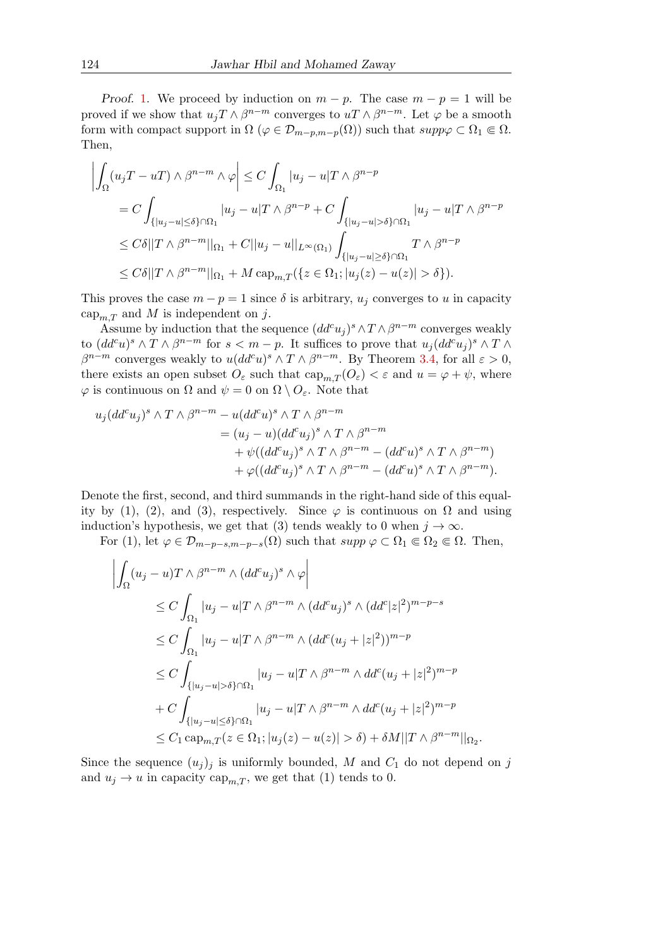Proof. [1.](#page-5-0) We proceed by induction on  $m - p$ . The case  $m - p = 1$  will be proved if we show that  $u_j T \wedge \beta^{n-m}$  converges to  $u T \wedge \beta^{n-m}$ . Let  $\varphi$  be a smooth form with compact support in  $\Omega$  ( $\varphi \in \mathcal{D}_{m-p,m-p}(\Omega)$ ) such that  $supp \varphi \subset \Omega_1 \Subset \Omega$ . Then,

$$
\left| \int_{\Omega} (u_j T - u T) \wedge \beta^{n-m} \wedge \varphi \right| \leq C \int_{\Omega_1} |u_j - u| T \wedge \beta^{n-p}
$$
  
=  $C \int_{\{|u_j - u| \leq \delta\} \cap \Omega_1} |u_j - u| T \wedge \beta^{n-p} + C \int_{\{|u_j - u| > \delta\} \cap \Omega_1} |u_j - u| T \wedge \beta^{n-p}$   
 $\leq C\delta ||T \wedge \beta^{n-m}||_{\Omega_1} + C ||u_j - u||_{L^{\infty}(\Omega_1)} \int_{\{|u_j - u| \geq \delta\} \cap \Omega_1} T \wedge \beta^{n-p}$   
 $\leq C\delta ||T \wedge \beta^{n-m}||_{\Omega_1} + M \operatorname{cap}_{m,T} (\{z \in \Omega_1; |u_j(z) - u(z)| > \delta \}).$ 

This proves the case  $m - p = 1$  since  $\delta$  is arbitrary,  $u_j$  converges to u in capacity cap<sub>m,T</sub> and M is independent on j.

Assume by induction that the sequence  $(dd^c u_j)^s \wedge T \wedge \beta^{n-m}$  converges weakly to  $(dd^c u)^s \wedge T \wedge \beta^{n-m}$  for  $s < m-p$ . It suffices to prove that  $u_j(dd^c u_j)^s \wedge T \wedge T$  $\beta^{n-m}$  converges weakly to  $u(dd^cu)^s \wedge T \wedge \beta^{n-m}$ . By Theorem [3.4,](#page-5-1) for all  $\varepsilon > 0$ , there exists an open subset  $O_{\varepsilon}$  such that  $\text{cap}_{m,T}(O_{\varepsilon}) < \varepsilon$  and  $u = \varphi + \psi$ , where  $\varphi$  is continuous on  $\Omega$  and  $\psi = 0$  on  $\Omega \setminus O_{\varepsilon}$ . Note that

$$
u_j(dd^cu_j)^s \wedge T \wedge \beta^{n-m} - u(dd^cu)^s \wedge T \wedge \beta^{n-m}
$$
  
=  $(u_j - u)(dd^cu_j)^s \wedge T \wedge \beta^{n-m}$   
+  $\psi((dd^cu_j)^s \wedge T \wedge \beta^{n-m} - (dd^cu)^s \wedge T \wedge \beta^{n-m})$   
+  $\varphi((dd^cu_j)^s \wedge T \wedge \beta^{n-m} - (dd^cu)^s \wedge T \wedge \beta^{n-m}).$ 

Denote the first, second, and third summands in the right-hand side of this equality by (1), (2), and (3), respectively. Since  $\varphi$  is continuous on  $\Omega$  and using induction's hypothesis, we get that (3) tends weakly to 0 when  $j \to \infty$ .

For (1), let  $\varphi \in \mathcal{D}_{m-p-s,m-p-s}(\Omega)$  such that  $supp \varphi \subset \Omega_1 \Subset \Omega_2 \Subset \Omega$ . Then,

$$
\left| \int_{\Omega} (u_j - u) T \wedge \beta^{n-m} \wedge (dd^c u_j)^s \wedge \varphi \right|
$$
  
\n
$$
\leq C \int_{\Omega_1} |u_j - u| T \wedge \beta^{n-m} \wedge (dd^c u_j)^s \wedge (dd^c |z|^2)^{m-p-s}
$$
  
\n
$$
\leq C \int_{\Omega_1} |u_j - u| T \wedge \beta^{n-m} \wedge (dd^c (u_j + |z|^2))^{m-p}
$$
  
\n
$$
\leq C \int_{\{|u_j - u| > \delta\} \cap \Omega_1} |u_j - u| T \wedge \beta^{n-m} \wedge dd^c (u_j + |z|^2)^{m-p}
$$
  
\n
$$
+ C \int_{\{|u_j - u| \leq \delta\} \cap \Omega_1} |u_j - u| T \wedge \beta^{n-m} \wedge dd^c (u_j + |z|^2)^{m-p}
$$
  
\n
$$
\leq C_1 \operatorname{cap}_{m,T} (z \in \Omega_1; |u_j(z) - u(z)| > \delta) + \delta M ||T \wedge \beta^{n-m}||_{\Omega_2}.
$$

Since the sequence  $(u_i)_j$  is uniformly bounded, M and  $C_1$  do not depend on j and  $u_j \to u$  in capacity cap<sub>m,T</sub>, we get that (1) tends to 0.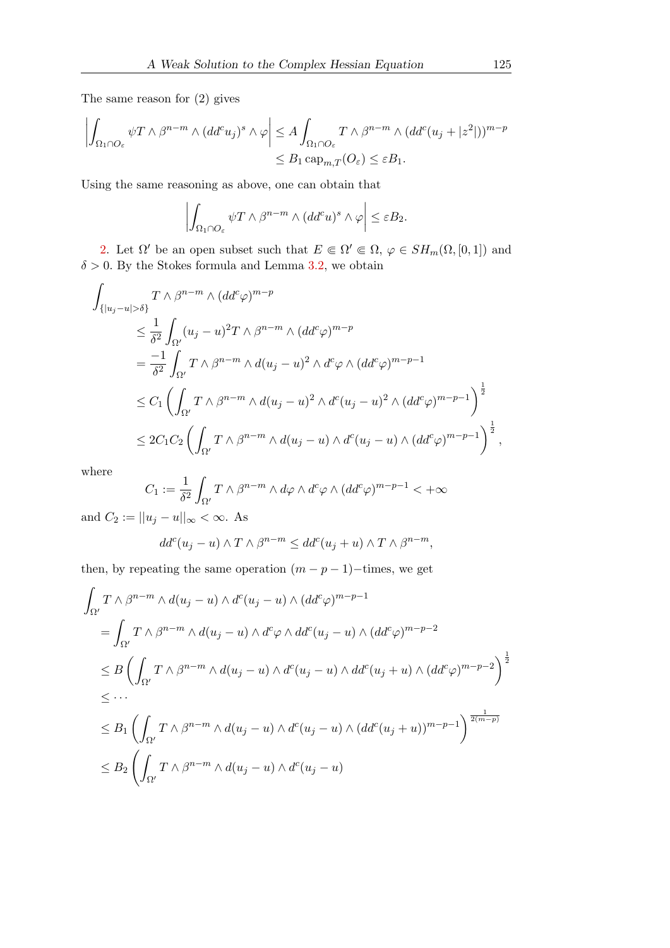The same reason for (2) gives

$$
\left| \int_{\Omega_1 \cap O_{\varepsilon}} \psi T \wedge \beta^{n-m} \wedge (dd^c u_j)^s \wedge \varphi \right| \leq A \int_{\Omega_1 \cap O_{\varepsilon}} T \wedge \beta^{n-m} \wedge (dd^c (u_j + |z^2|))^{m-p} \leq B_1 \operatorname{cap}_{m,T}(O_{\varepsilon}) \leq \varepsilon B_1.
$$

Using the same reasoning as above, one can obtain that

$$
\left| \int_{\Omega_1 \cap O_{\varepsilon}} \psi T \wedge \beta^{n-m} \wedge (dd^c u)^s \wedge \varphi \right| \leq \varepsilon B_2.
$$

[2.](#page-5-2) Let  $\Omega'$  be an open subset such that  $E \in \Omega' \in \Omega$ ,  $\varphi \in SH_m(\Omega, [0, 1])$  and  $\delta > 0$ . By the Stokes formula and Lemma [3.2,](#page-4-0) we obtain

$$
\int_{\{|u_j-u|>\delta\}} T \wedge \beta^{n-m} \wedge (dd^c \varphi)^{m-p}
$$
\n
$$
\leq \frac{1}{\delta^2} \int_{\Omega'} (u_j - u)^2 T \wedge \beta^{n-m} \wedge (dd^c \varphi)^{m-p}
$$
\n
$$
= \frac{-1}{\delta^2} \int_{\Omega'} T \wedge \beta^{n-m} \wedge d(u_j - u)^2 \wedge d^c \varphi \wedge (dd^c \varphi)^{m-p-1}
$$
\n
$$
\leq C_1 \left( \int_{\Omega'} T \wedge \beta^{n-m} \wedge d(u_j - u)^2 \wedge d^c (u_j - u)^2 \wedge (dd^c \varphi)^{m-p-1} \right)^{\frac{1}{2}}
$$
\n
$$
\leq 2C_1 C_2 \left( \int_{\Omega'} T \wedge \beta^{n-m} \wedge d(u_j - u) \wedge d^c (u_j - u) \wedge (dd^c \varphi)^{m-p-1} \right)^{\frac{1}{2}},
$$

where

$$
C_1 := \frac{1}{\delta^2} \int_{\Omega'} T \wedge \beta^{n-m} \wedge d\varphi \wedge d^c \varphi \wedge (dd^c \varphi)^{m-p-1} < +\infty
$$

and  $C_2 := ||u_j - u||_{\infty} < \infty$ . As

$$
dd^{c}(u_{j}-u) \wedge T \wedge \beta^{n-m} \leq dd^{c}(u_{j}+u) \wedge T \wedge \beta^{n-m},
$$

then, by repeating the same operation  $(m - p - 1)$ –times, we get

$$
\int_{\Omega'} T \wedge \beta^{n-m} \wedge d(u_j - u) \wedge d^c(u_j - u) \wedge (dd^c \varphi)^{m-p-1}
$$
\n
$$
= \int_{\Omega'} T \wedge \beta^{n-m} \wedge d(u_j - u) \wedge d^c \varphi \wedge dd^c(u_j - u) \wedge (dd^c \varphi)^{m-p-2}
$$
\n
$$
\leq B \left( \int_{\Omega'} T \wedge \beta^{n-m} \wedge d(u_j - u) \wedge d^c(u_j - u) \wedge dd^c(u_j + u) \wedge (dd^c \varphi)^{m-p-2} \right)^{\frac{1}{2}}
$$
\n
$$
\leq \cdots
$$
\n
$$
\leq B_1 \left( \int_{\Omega'} T \wedge \beta^{n-m} \wedge d(u_j - u) \wedge d^c(u_j - u) \wedge (dd^c(u_j + u))^{m-p-1} \right)^{\frac{1}{2(m-p)}}
$$
\n
$$
\leq B_2 \left( \int_{\Omega'} T \wedge \beta^{n-m} \wedge d(u_j - u) \wedge d^c(u_j - u) \right)
$$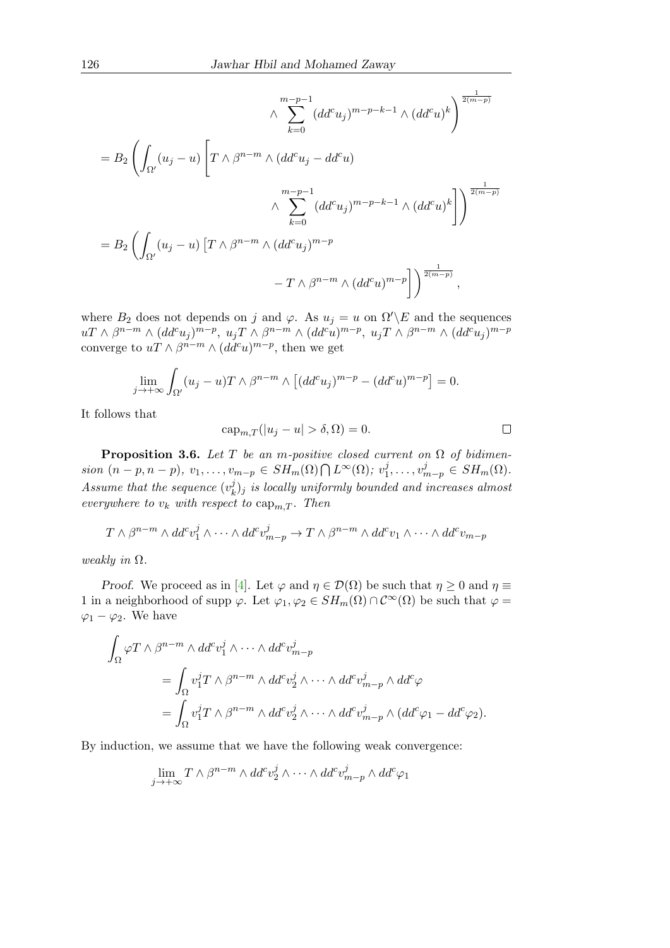$$
\wedge \sum_{k=0}^{m-p-1} (dd^c u_j)^{m-p-k-1} \wedge (dd^c u)^k \Big)^{\frac{1}{2(m-p)}}
$$
  
=  $B_2 \left( \int_{\Omega'} (u_j - u) \left[ T \wedge \beta^{n-m} \wedge (dd^c u_j - dd^c u) \right] \wedge \sum_{k=0}^{m-p-1} (dd^c u_j)^{m-p-k-1} \wedge (dd^c u)^k \right] \Big)^{\frac{1}{2(m-p)}}$   
=  $B_2 \left( \int_{\Omega'} (u_j - u) \left[ T \wedge \beta^{n-m} \wedge (dd^c u_j)^{m-p} \right] - T \wedge \beta^{n-m} \wedge (dd^c u)^{m-p} \right] \Big)^{\frac{1}{2(m-p)}},$ 

where  $B_2$  does not depends on j and  $\varphi$ . As  $u_j = u$  on  $\Omega' \backslash E$  and the sequences  $u \to \beta^{n-m} \wedge (dd^c u_j)^{m-p}, u_j \to \beta^{n-m} \wedge (dd^c u)^{m-p}, u_j \to \beta^{n-m} \wedge (dd^c u_j)^{m-p}$ converge to  $uT \wedge \beta^{n-m} \wedge (dd^c u)^{m-p}$ , then we get

$$
\lim_{j \to +\infty} \int_{\Omega'} (u_j - u) T \wedge \beta^{n-m} \wedge \left[ (dd^c u_j)^{m-p} - (dd^c u)^{m-p} \right] = 0.
$$

It follows that

$$
cap_{m,T}(|u_j - u| > \delta, \Omega) = 0.
$$

**Proposition 3.6.** Let T be an m-positive closed current on  $\Omega$  of bidimension  $(n-p, n-p), v_1, \ldots, v_{m-p} \in SH_m(\Omega) \bigcap L^{\infty}(\Omega); v_1^j$  $v_1^j, \ldots, v_{m-p}^j \in SH_m(\Omega).$ Assume that the sequence  $(v_k^j)$  $k_B^{\left( j \right)}$  is locally uniformly bounded and increases almost everywhere to  $v_k$  with respect to  $\text{cap}_{m,T}$ . Then

$$
T \wedge \beta^{n-m} \wedge dd^c v_1^j \wedge \cdots \wedge dd^c v_{m-p}^j \to T \wedge \beta^{n-m} \wedge dd^c v_1 \wedge \cdots \wedge dd^c v_{m-p}
$$

weakly in  $\Omega$ .

*Proof.* We proceed as in [\[4\]](#page-16-11). Let  $\varphi$  and  $\eta \in \mathcal{D}(\Omega)$  be such that  $\eta \geq 0$  and  $\eta \equiv$ 1 in a neighborhood of supp  $\varphi$ . Let  $\varphi_1, \varphi_2 \in SH_m(\Omega) \cap C^{\infty}(\Omega)$  be such that  $\varphi =$  $\varphi_1 - \varphi_2$ . We have

$$
\int_{\Omega} \varphi T \wedge \beta^{n-m} \wedge dd^c v_1^j \wedge \cdots \wedge dd^c v_{m-p}^j
$$
\n
$$
= \int_{\Omega} v_1^j T \wedge \beta^{n-m} \wedge dd^c v_2^j \wedge \cdots \wedge dd^c v_{m-p}^j \wedge dd^c \varphi
$$
\n
$$
= \int_{\Omega} v_1^j T \wedge \beta^{n-m} \wedge dd^c v_2^j \wedge \cdots \wedge dd^c v_{m-p}^j \wedge (dd^c \varphi_1 - dd^c \varphi_2).
$$

By induction, we assume that we have the following weak convergence:

$$
\lim_{j \to +\infty} T \wedge \beta^{n-m} \wedge dd^c v_2^j \wedge \cdots \wedge dd^c v_{m-p}^j \wedge dd^c \varphi_1
$$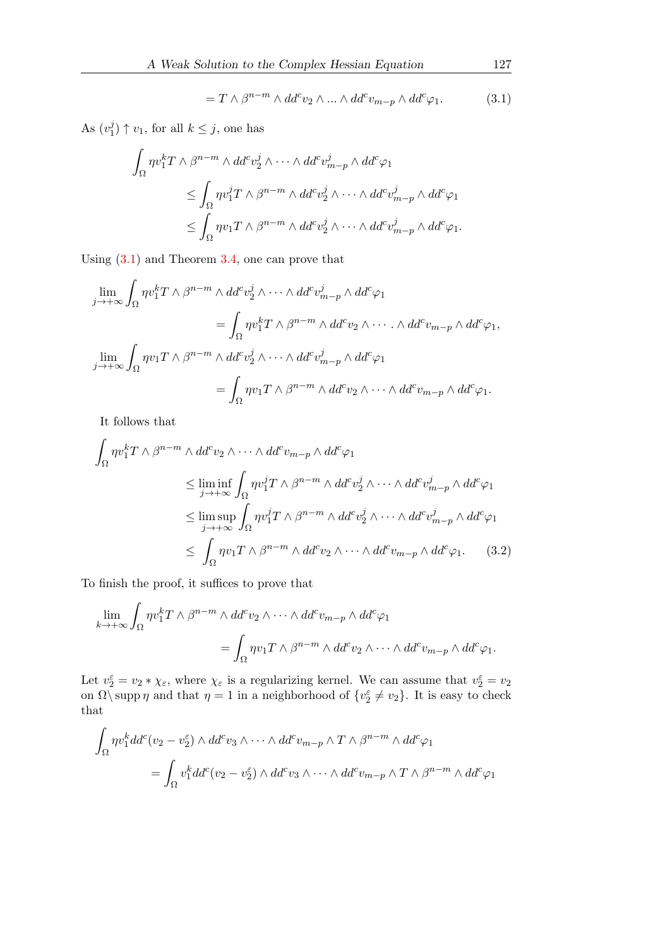<span id="page-9-0"></span>
$$
= T \wedge \beta^{n-m} \wedge dd^c v_2 \wedge \dots \wedge dd^c v_{m-p} \wedge dd^c \varphi_1. \tag{3.1}
$$

As  $(v_1^j)$  $j_1$   $\uparrow$   $v_1$ , for all  $k \leq j$ , one has

$$
\int_{\Omega} \eta v_1^k T \wedge \beta^{n-m} \wedge dd^c v_2^j \wedge \cdots \wedge dd^c v_{m-p}^j \wedge dd^c \varphi_1
$$
\n
$$
\leq \int_{\Omega} \eta v_1^j T \wedge \beta^{n-m} \wedge dd^c v_2^j \wedge \cdots \wedge dd^c v_{m-p}^j \wedge dd^c \varphi_1
$$
\n
$$
\leq \int_{\Omega} \eta v_1 T \wedge \beta^{n-m} \wedge dd^c v_2^j \wedge \cdots \wedge dd^c v_{m-p}^j \wedge dd^c \varphi_1.
$$

Using [\(3.1\)](#page-9-0) and Theorem [3.4,](#page-5-1) one can prove that

$$
\lim_{j \to +\infty} \int_{\Omega} \eta v_1^k T \wedge \beta^{n-m} \wedge dd^c v_2^j \wedge \cdots \wedge dd^c v_{m-p}^j \wedge dd^c \varphi_1
$$
\n
$$
= \int_{\Omega} \eta v_1^k T \wedge \beta^{n-m} \wedge dd^c v_2 \wedge \cdots \wedge dd^c v_{m-p} \wedge dd^c \varphi_1,
$$
\n
$$
\lim_{j \to +\infty} \int_{\Omega} \eta v_1 T \wedge \beta^{n-m} \wedge dd^c v_2^j \wedge \cdots \wedge dd^c v_{m-p}^j \wedge dd^c \varphi_1
$$
\n
$$
= \int_{\Omega} \eta v_1 T \wedge \beta^{n-m} \wedge dd^c v_2 \wedge \cdots \wedge dd^c v_{m-p} \wedge dd^c \varphi_1.
$$

It follows that

$$
\int_{\Omega} \eta v_1^k T \wedge \beta^{n-m} \wedge dd^c v_2 \wedge \cdots \wedge dd^c v_{m-p} \wedge dd^c \varphi_1
$$
\n
$$
\leq \liminf_{j \to +\infty} \int_{\Omega} \eta v_1^j T \wedge \beta^{n-m} \wedge dd^c v_2^j \wedge \cdots \wedge dd^c v_{m-p}^j \wedge dd^c \varphi_1
$$
\n
$$
\leq \limsup_{j \to +\infty} \int_{\Omega} \eta v_1^j T \wedge \beta^{n-m} \wedge dd^c v_2^j \wedge \cdots \wedge dd^c v_{m-p}^j \wedge dd^c \varphi_1
$$
\n
$$
\leq \int_{\Omega} \eta v_1 T \wedge \beta^{n-m} \wedge dd^c v_2 \wedge \cdots \wedge dd^c v_{m-p} \wedge dd^c \varphi_1. \tag{3.2}
$$

To finish the proof, it suffices to prove that

<span id="page-9-1"></span>
$$
\lim_{k \to +\infty} \int_{\Omega} \eta v_1^k T \wedge \beta^{n-m} \wedge dd^c v_2 \wedge \cdots \wedge dd^c v_{m-p} \wedge dd^c \varphi_1
$$

$$
= \int_{\Omega} \eta v_1 T \wedge \beta^{n-m} \wedge dd^c v_2 \wedge \cdots \wedge dd^c v_{m-p} \wedge dd^c \varphi_1.
$$

Let  $v_2^{\varepsilon} = v_2 * \chi_{\varepsilon}$ , where  $\chi_{\varepsilon}$  is a regularizing kernel. We can assume that  $v_2^{\varepsilon} = v_2$ on  $\Omega \backslash \text{supp } \eta$  and that  $\eta = 1$  in a neighborhood of  $\{v_2^{\varepsilon} \neq v_2\}$ . It is easy to check that

$$
\int_{\Omega} \eta v_1^k dd^c(v_2 - v_2^{\epsilon}) \wedge dd^c v_3 \wedge \cdots \wedge dd^c v_{m-p} \wedge T \wedge \beta^{n-m} \wedge dd^c \varphi_1
$$
\n
$$
= \int_{\Omega} v_1^k dd^c(v_2 - v_2^{\epsilon}) \wedge dd^c v_3 \wedge \cdots \wedge dd^c v_{m-p} \wedge T \wedge \beta^{n-m} \wedge dd^c \varphi_1
$$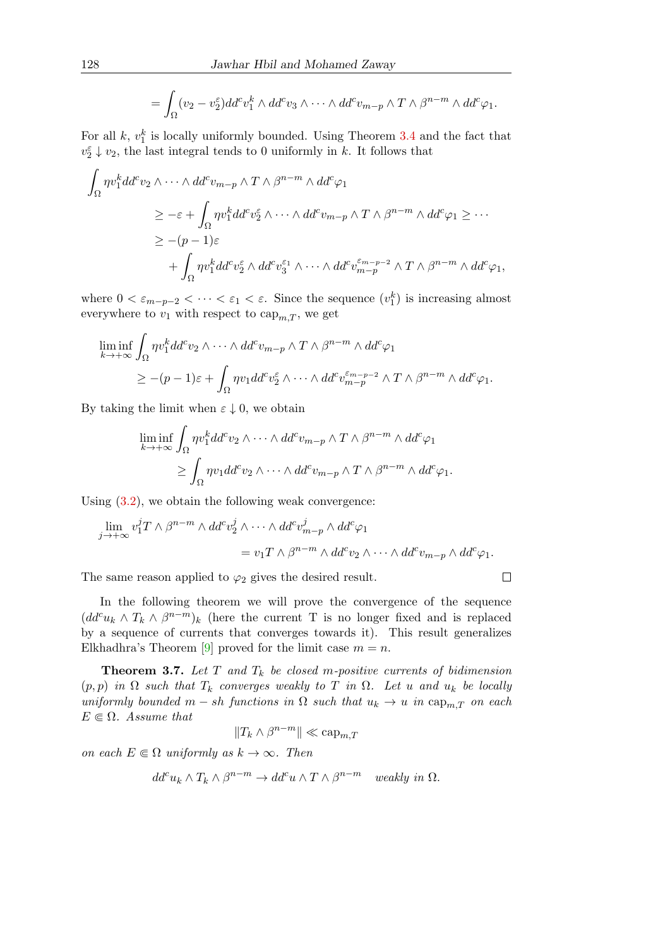$$
= \int_{\Omega} (v_2 - v_2^{\varepsilon}) dd^c v_1^k \wedge dd^c v_3 \wedge \cdots \wedge dd^c v_{m-p} \wedge T \wedge \beta^{n-m} \wedge dd^c \varphi_1.
$$

For all  $k, v_1^k$  is locally uniformly bounded. Using Theorem [3.4](#page-5-1) and the fact that  $v_2^{\varepsilon}\downarrow v_2$ , the last integral tends to 0 uniformly in  $k.$  It follows that

$$
\int_{\Omega} \eta v_1^k dd^c v_2 \wedge \cdots \wedge dd^c v_{m-p} \wedge T \wedge \beta^{n-m} \wedge dd^c \varphi_1
$$
\n
$$
\geq -\varepsilon + \int_{\Omega} \eta v_1^k dd^c v_2^{\varepsilon} \wedge \cdots \wedge dd^c v_{m-p} \wedge T \wedge \beta^{n-m} \wedge dd^c \varphi_1 \geq \cdots
$$
\n
$$
\geq -(p-1)\varepsilon
$$
\n
$$
+ \int_{\Omega} \eta v_1^k dd^c v_2^{\varepsilon} \wedge dd^c v_3^{\varepsilon_1} \wedge \cdots \wedge dd^c v_{m-p}^{\varepsilon_{m-p-2}} \wedge T \wedge \beta^{n-m} \wedge dd^c \varphi_1,
$$

where  $0 < \varepsilon_{m-p-2} < \cdots < \varepsilon_1 < \varepsilon$ . Since the sequence  $(v_1^k)$  is increasing almost everywhere to  $v_1$  with respect to  $\text{cap}_{m,T}$ , we get

$$
\liminf_{k \to +\infty} \int_{\Omega} \eta v_1^k dd^c v_2 \wedge \dots \wedge dd^c v_{m-p} \wedge T \wedge \beta^{n-m} \wedge dd^c \varphi_1
$$
\n
$$
\geq -(p-1)\varepsilon + \int_{\Omega} \eta v_1 dd^c v_2^{\varepsilon} \wedge \dots \wedge dd^c v_{m-p}^{\varepsilon_{m-p-2}} \wedge T \wedge \beta^{n-m} \wedge dd^c \varphi_1.
$$

By taking the limit when  $\varepsilon \downarrow 0$ , we obtain

$$
\liminf_{k \to +\infty} \int_{\Omega} \eta v_1^k dd^c v_2 \wedge \dots \wedge dd^c v_{m-p} \wedge T \wedge \beta^{n-m} \wedge dd^c \varphi_1
$$
  

$$
\geq \int_{\Omega} \eta v_1 dd^c v_2 \wedge \dots \wedge dd^c v_{m-p} \wedge T \wedge \beta^{n-m} \wedge dd^c \varphi_1.
$$

Using  $(3.2)$ , we obtain the following weak convergence:

$$
\lim_{j \to +\infty} v_1^j T \wedge \beta^{n-m} \wedge dd^c v_2^j \wedge \cdots \wedge dd^c v_{m-p}^j \wedge dd^c \varphi_1
$$
  
=  $v_1 T \wedge \beta^{n-m} \wedge dd^c v_2 \wedge \cdots \wedge dd^c v_{m-p} \wedge dd^c \varphi_1.$ 

 $\Box$ 

The same reason applied to  $\varphi_2$  gives the desired result.

In the following theorem we will prove the convergence of the sequence  $(dd^c u_k \wedge T_k \wedge \beta^{n-m})_k$  (here the current T is no longer fixed and is replaced by a sequence of currents that converges towards it). This result generalizes Elkhadhra's Theorem [\[9\]](#page-16-12) proved for the limit case  $m = n$ .

**Theorem 3.7.** Let T and  $T_k$  be closed m-positive currents of bidimension  $(p, p)$  in  $\Omega$  such that  $T_k$  converges weakly to T in  $\Omega$ . Let u and  $u_k$  be locally uniformly bounded  $m - sh$  functions in  $\Omega$  such that  $u_k \to u$  in  $\text{cap}_{m,T}$  on each  $E \in \Omega$ . Assume that

$$
||T_k \wedge \beta^{n-m}|| \ll \text{cap}_{m,T}
$$

on each  $E \in \Omega$  uniformly as  $k \to \infty$ . Then

$$
dd^{c}u_{k} \wedge T_{k} \wedge \beta^{n-m} \to dd^{c}u \wedge T \wedge \beta^{n-m} \quad weakly \ in \ \Omega.
$$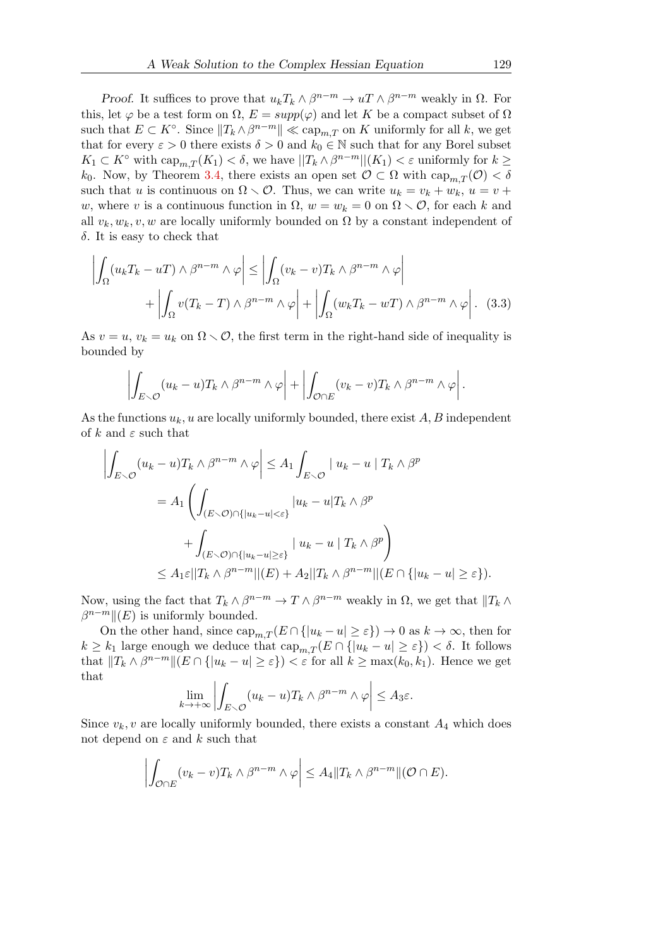Proof. It suffices to prove that  $u_kT_k \wedge \beta^{n-m} \to uT \wedge \beta^{n-m}$  weakly in  $\Omega$ . For this, let  $\varphi$  be a test form on  $\Omega$ ,  $E = supp(\varphi)$  and let K be a compact subset of  $\Omega$ such that  $E \subset K^{\circ}$ . Since  $||T_k \wedge \beta^{n-m}|| \ll \text{cap}_{m,T}$  on K uniformly for all k, we get that for every  $\varepsilon > 0$  there exists  $\delta > 0$  and  $k_0 \in \mathbb{N}$  such that for any Borel subset  $K_1 \subset K^{\circ}$  with  $\text{cap}_{m,T}(K_1) < \delta$ , we have  $||T_k \wedge \beta^{n-m}||(K_1) < \varepsilon$  uniformly for  $k \geq$ k<sub>0</sub>. Now, by Theorem [3.4,](#page-5-1) there exists an open set  $\mathcal{O} \subset \Omega$  with  $\text{cap}_{m,T}(\mathcal{O}) < \delta$ such that u is continuous on  $\Omega \setminus \mathcal{O}$ . Thus, we can write  $u_k = v_k + w_k$ ,  $u = v +$ w, where v is a continuous function in  $\Omega$ ,  $w = w_k = 0$  on  $\Omega \setminus \mathcal{O}$ , for each k and all  $v_k, w_k, v, w$  are locally uniformly bounded on  $\Omega$  by a constant independent of δ. It is easy to check that

$$
\left| \int_{\Omega} (u_k T_k - u T) \wedge \beta^{n-m} \wedge \varphi \right| \le \left| \int_{\Omega} (v_k - v) T_k \wedge \beta^{n-m} \wedge \varphi \right| + \left| \int_{\Omega} v (T_k - T) \wedge \beta^{n-m} \wedge \varphi \right| + \left| \int_{\Omega} (w_k T_k - w T) \wedge \beta^{n-m} \wedge \varphi \right|.
$$
 (3.3)

As  $v = u$ ,  $v_k = u_k$  on  $\Omega \setminus \mathcal{O}$ , the first term in the right-hand side of inequality is bounded by

<span id="page-11-0"></span>
$$
\left| \int_{E \smallsetminus \mathcal{O}} (u_k - u) T_k \wedge \beta^{n-m} \wedge \varphi \right| + \left| \int_{\mathcal{O} \cap E} (v_k - v) T_k \wedge \beta^{n-m} \wedge \varphi \right|.
$$

As the functions  $u_k$ , u are locally uniformly bounded, there exist A, B independent of k and  $\varepsilon$  such that

$$
\left| \int_{E \smallsetminus \mathcal{O}} (u_k - u) T_k \wedge \beta^{n-m} \wedge \varphi \right| \leq A_1 \int_{E \smallsetminus \mathcal{O}} |u_k - u| T_k \wedge \beta^p
$$
  
=  $A_1 \left( \int_{(E \smallsetminus \mathcal{O}) \cap \{|u_k - u| < \varepsilon\}} |u_k - u| T_k \wedge \beta^p$   
+  $\int_{(E \smallsetminus \mathcal{O}) \cap \{|u_k - u| \geq \varepsilon\}} |u_k - u| T_k \wedge \beta^p \right)$   
 $\leq A_1 \varepsilon ||T_k \wedge \beta^{n-m}||(E) + A_2||T_k \wedge \beta^{n-m}||(E \cap \{|u_k - u| \geq \varepsilon\}).$ 

Now, using the fact that  $T_k \wedge \beta^{n-m} \to T \wedge \beta^{n-m}$  weakly in  $\Omega$ , we get that  $||T_k \wedge \beta^{n-m}||$  $\beta^{n-m}$  ||(E) is uniformly bounded.

On the other hand, since  $\text{cap}_{m,T}(E \cap \{|u_k - u| \geq \varepsilon\}) \to 0$  as  $k \to \infty$ , then for  $k \geq k_1$  large enough we deduce that  $\text{cap}_{m,T}(E \cap \{|u_k - u| \geq \varepsilon\}) < \delta$ . It follows that  $||T_k \wedge \beta^{n-m}|| (E \cap {|u_k - u| \geq \varepsilon}) < \varepsilon$  for all  $k \geq \max(k_0, k_1)$ . Hence we get that

$$
\lim_{k \to +\infty} \left| \int_{E \setminus \mathcal{O}} (u_k - u) T_k \wedge \beta^{n-m} \wedge \varphi \right| \leq A_3 \varepsilon.
$$

Since  $v_k$ , v are locally uniformly bounded, there exists a constant  $A_4$  which does not depend on  $\varepsilon$  and  $k$  such that

$$
\left| \int_{\mathcal{O}\cap E} (v_k - v) T_k \wedge \beta^{n-m} \wedge \varphi \right| \leq A_4 \| T_k \wedge \beta^{n-m} \| (\mathcal{O} \cap E).
$$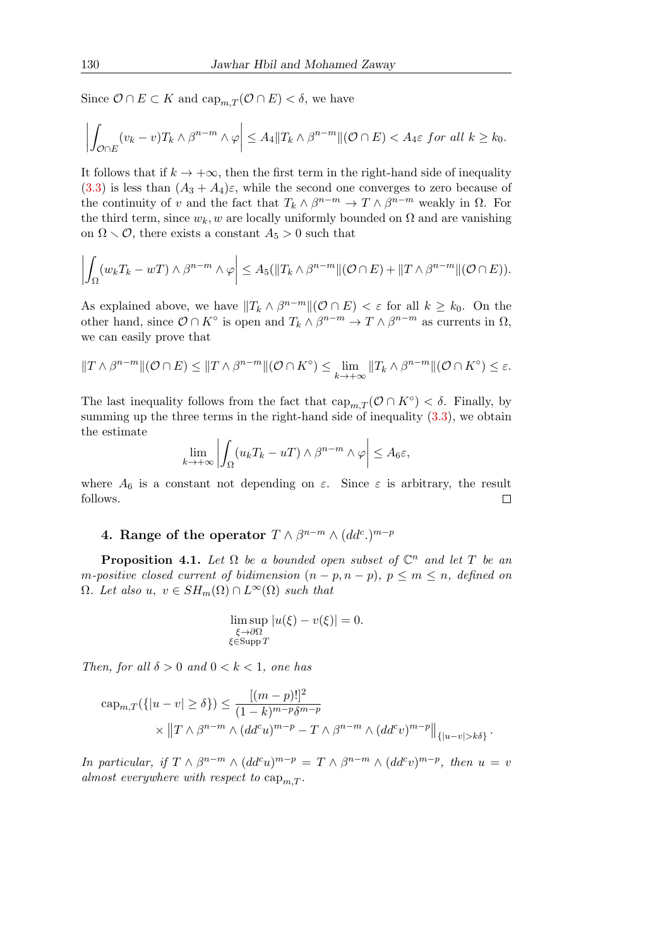Since  $\mathcal{O} \cap E \subset K$  and  $\text{cap}_{m,T}(\mathcal{O} \cap E) < \delta$ , we have

$$
\left|\int_{\mathcal{O}\cap E}(v_k-v)T_k\wedge\beta^{n-m}\wedge\varphi\right|\leq A_4\|T_k\wedge\beta^{n-m}\|(\mathcal{O}\cap E)< A_4\varepsilon\ for\ all\ k\geq k_0.
$$

It follows that if  $k \to +\infty$ , then the first term in the right-hand side of inequality [\(3.3\)](#page-11-0) is less than  $(A_3 + A_4)\varepsilon$ , while the second one converges to zero because of the continuity of v and the fact that  $T_k \wedge \beta^{n-m} \to T \wedge \beta^{n-m}$  weakly in  $\Omega$ . For the third term, since  $w_k, w$  are locally uniformly bounded on  $\Omega$  and are vanishing on  $\Omega \setminus \mathcal{O}$ , there exists a constant  $A_5 > 0$  such that

$$
\left| \int_{\Omega} (w_k T_k - wT) \wedge \beta^{n-m} \wedge \varphi \right| \leq A_5(\|T_k \wedge \beta^{n-m}\|(\mathcal{O} \cap E) + \|T \wedge \beta^{n-m}\|(\mathcal{O} \cap E)).
$$

As explained above, we have  $||T_k \wedge \beta^{n-m}||(\mathcal{O} \cap E)| < \varepsilon$  for all  $k \geq k_0$ . On the other hand, since  $\mathcal{O} \cap K^{\circ}$  is open and  $T_k \wedge \beta^{n-m} \to T \wedge \beta^{n-m}$  as currents in  $\Omega$ , we can easily prove that

$$
||T \wedge \beta^{n-m}||(\mathcal{O} \cap E) \le ||T \wedge \beta^{n-m}||(\mathcal{O} \cap K^{\circ}) \le \lim_{k \to +\infty} ||T_k \wedge \beta^{n-m}||(\mathcal{O} \cap K^{\circ}) \le \varepsilon.
$$

The last inequality follows from the fact that  $\text{cap}_{m,T}(\mathcal{O} \cap K^{\circ}) < \delta$ . Finally, by summing up the three terms in the right-hand side of inequality  $(3.3)$ , we obtain the estimate

$$
\lim_{k \to +\infty} \left| \int_{\Omega} (u_k T_k - uT) \wedge \beta^{n-m} \wedge \varphi \right| \leq A_6 \varepsilon,
$$

where  $A_6$  is a constant not depending on  $\varepsilon$ . Since  $\varepsilon$  is arbitrary, the result follows.  $\Box$ 

### 4. Range of the operator  $T \wedge \beta^{n-m} \wedge (dd^c)^{m-p}$

<span id="page-12-0"></span>**Proposition 4.1.** Let  $\Omega$  be a bounded open subset of  $\mathbb{C}^n$  and let T be an m-positive closed current of bidimension  $(n - p, n - p)$ ,  $p \le m \le n$ , defined on  $\Omega$ . Let also u,  $v \in SH_m(\Omega) \cap L^{\infty}(\Omega)$  such that

$$
\limsup_{\substack{\xi \to \partial \Omega \\ \xi \in \text{Supp } T}} |u(\xi) - v(\xi)| = 0.
$$

Then, for all  $\delta > 0$  and  $0 < k < 1$ , one has

$$
\operatorname{cap}_{m,T}(\{|u-v|\ge\delta\}) \le \frac{[(m-p)!]^2}{(1-k)^{m-p}\delta^{m-p}} \times ||T \wedge \beta^{n-m} \wedge (dd^c u)^{m-p} - T \wedge \beta^{n-m} \wedge (dd^c v)^{m-p}||_{\{|u-v|>k\delta\}}.
$$

In particular, if  $T \wedge \beta^{n-m} \wedge (dd^c u)^{m-p} = T \wedge \beta^{n-m} \wedge (dd^c v)^{m-p}$ , then  $u = v$ almost everywhere with respect to  $cap_{m,T}$ .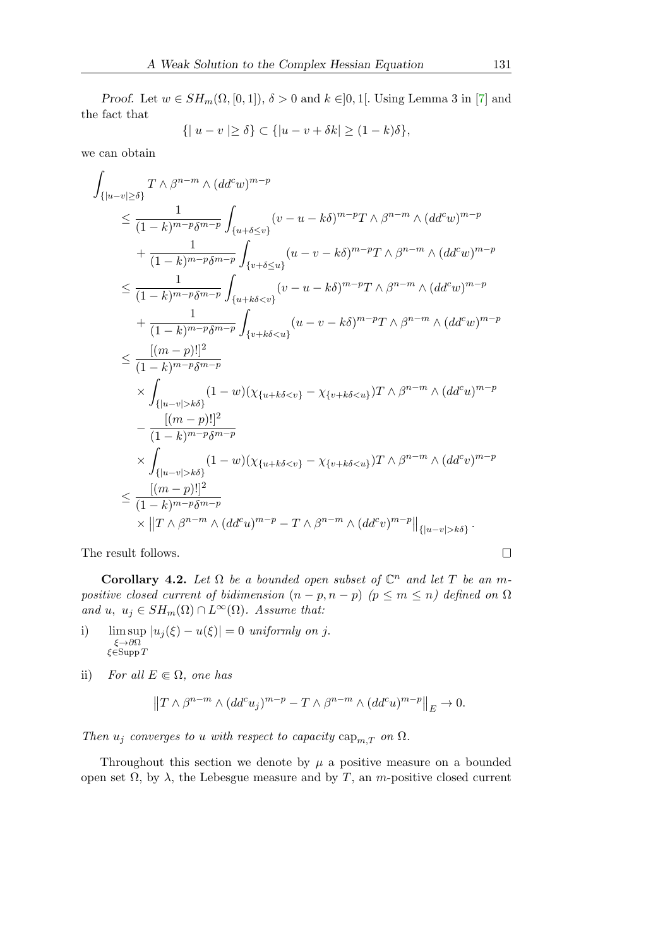Proof. Let  $w \in SH_m(\Omega, [0, 1]), \delta > 0$  and  $k \in ]0, 1[$ . Using Lemma 3 in [\[7\]](#page-16-5) and the fact that

$$
\{|u-v| \ge \delta\} \subset \{|u-v+\delta k| \ge (1-k)\delta\},\
$$

we can obtain

$$
\int_{\{|u-v|\geq \delta\}} T \wedge \beta^{n-m} \wedge (dd^c w)^{m-p} \n\leq \frac{1}{(1-k)^{m-p} \delta^{m-p}} \int_{\{u+\delta \leq v\}} (v-u-k\delta)^{m-p} T \wedge \beta^{n-m} \wedge (dd^c w)^{m-p} \n+ \frac{1}{(1-k)^{m-p} \delta^{m-p}} \int_{\{v+\delta \leq u\}} (u-v-k\delta)^{m-p} T \wedge \beta^{n-m} \wedge (dd^c w)^{m-p} \n\leq \frac{1}{(1-k)^{m-p} \delta^{m-p}} \int_{\{u+k\delta < v\}} (v-u-k\delta)^{m-p} T \wedge \beta^{n-m} \wedge (dd^c w)^{m-p} \n+ \frac{1}{(1-k)^{m-p} \delta^{m-p}} \int_{\{v+k\delta < u\}} (u-v-k\delta)^{m-p} T \wedge \beta^{n-m} \wedge (dd^c w)^{m-p} \n\leq \frac{[(m-p)!]^2}{(1-k)^{m-p} \delta^{m-p}} \n\times \int_{\{|u-v|>k\delta\}} (1-w) (\chi_{\{u+k\delta < v\}} - \chi_{\{v+k\delta < u\}}) T \wedge \beta^{n-m} \wedge (dd^c u)^{m-p} \n- \frac{[(m-p)!]^2}{(1-k)^{m-p} \delta^{m-p}} \n\times \int_{\{|u-v|>k\delta\}} (1-w) (\chi_{\{u+k\delta < v\}} - \chi_{\{v+k\delta < u\}}) T \wedge \beta^{n-m} \wedge (dd^c v)^{m-p} \n\leq \frac{[(m-p)!]^2}{(1-k)^{m-p} \delta^{m-p}} \n\times ||T \wedge \beta^{n-m} \wedge (dd^c u)^{m-p} - T \wedge \beta^{n-m} \wedge (dd^c v)^{m-p} ||_{\{|u-v|>k\delta\}}.
$$

The result follows.

Corollary 4.2. Let  $\Omega$  be a bounded open subset of  $\mathbb{C}^n$  and let T be an mpositive closed current of bidimension  $(n - p, n - p)$   $(p \leq m \leq n)$  defined on  $\Omega$ and u,  $u_j \in SH_m(\Omega) \cap L^{\infty}(\Omega)$ . Assume that:

- i) lim sup  $|u_j(\xi) u(\xi)| = 0$  uniformly on j. ξ→∂Ω ξ∈Supp T
- ii) For all  $E \in \Omega$ , one has

$$
||T \wedge \beta^{n-m} \wedge (dd^c u_j)^{m-p} - T \wedge \beta^{n-m} \wedge (dd^c u)^{m-p}||_E \to 0.
$$

Then  $u_j$  converges to u with respect to capacity  $\text{cap}_{m,T}$  on  $\Omega$ .

Throughout this section we denote by  $\mu$  a positive measure on a bounded open set  $\Omega$ , by  $\lambda$ , the Lebesgue measure and by T, an *m*-positive closed current

 $\Box$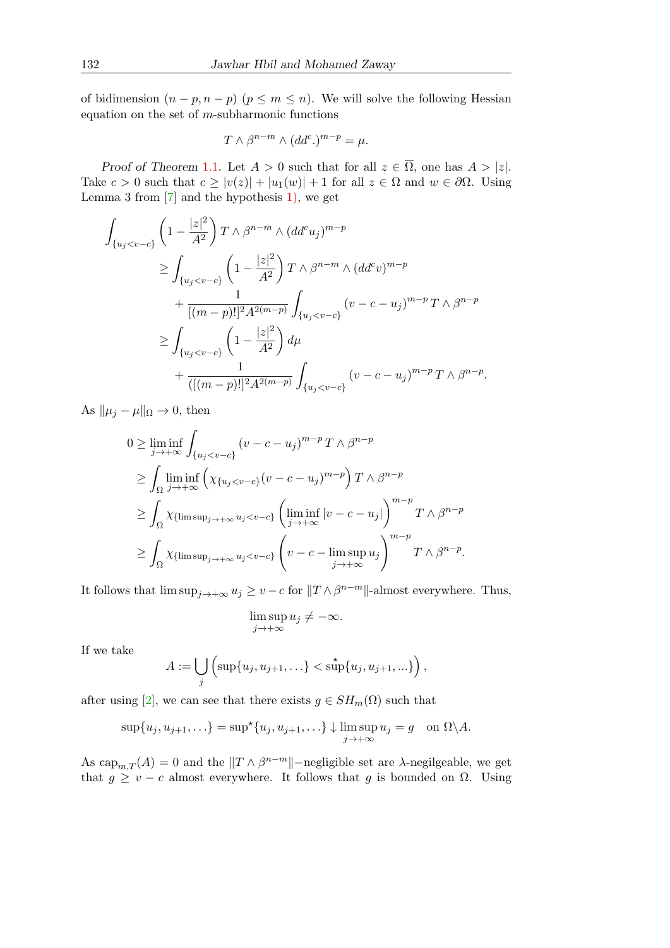of bidimension  $(n - p, n - p)$   $(p \leq m \leq n)$ . We will solve the following Hessian equation on the set of  $m$ -subharmonic functions

$$
T \wedge \beta^{n-m} \wedge (dd^c) ^{m-p} = \mu.
$$

Proof of Theorem [1](#page-1-0).1. Let  $A > 0$  such that for all  $z \in \overline{\Omega}$ , one has  $A > |z|$ . Take  $c > 0$  such that  $c \ge |v(z)| + |u_1(w)| + 1$  for all  $z \in \Omega$  and  $w \in \partial \Omega$ . Using Lemma 3 from  $[7]$  and the hypothesis [1\),](#page-1-1) we get

$$
\int_{\{u_j < v - c\}} \left( 1 - \frac{|z|^2}{A^2} \right) T \wedge \beta^{n-m} \wedge (dd^c u_j)^{m-p} \\
\geq \int_{\{u_j < v - c\}} \left( 1 - \frac{|z|^2}{A^2} \right) T \wedge \beta^{n-m} \wedge (dd^c v)^{m-p} \\
+ \frac{1}{[(m-p)!]^2 A^{2(m-p)}} \int_{\{u_j < v - c\}} (v - c - u_j)^{m-p} T \wedge \beta^{n-p} \\
\geq \int_{\{u_j < v - c\}} \left( 1 - \frac{|z|^2}{A^2} \right) d\mu \\
+ \frac{1}{([(m-p)!]^2 A^{2(m-p)}} \int_{\{u_j < v - c\}} (v - c - u_j)^{m-p} T \wedge \beta^{n-p}.
$$

As  $\|\mu_j - \mu\|_{\Omega} \to 0$ , then

$$
0 \ge \liminf_{j \to +\infty} \int_{\{u_j < v - c\}} (v - c - u_j)^{m-p} T \wedge \beta^{n-p}
$$
\n
$$
\ge \int_{\Omega} \liminf_{j \to +\infty} \left( \chi_{\{u_j < v - c\}} (v - c - u_j)^{m-p} \right) T \wedge \beta^{n-p}
$$
\n
$$
\ge \int_{\Omega} \chi_{\{\limsup_{j \to +\infty} u_j < v - c\}} \left( \liminf_{j \to +\infty} |v - c - u_j| \right)^{m-p} T \wedge \beta^{n-p}
$$
\n
$$
\ge \int_{\Omega} \chi_{\{\limsup_{j \to +\infty} u_j < v - c\}} \left( v - c - \limsup_{j \to +\infty} u_j \right)^{m-p} T \wedge \beta^{n-p}.
$$

It follows that  $\limsup_{j\to+\infty} u_j \geq v-c$  for  $||T \wedge \beta^{n-m}||$ -almost everywhere. Thus,

$$
\limsup_{j\to +\infty}u_j\neq -\infty.
$$

If we take

$$
A := \bigcup_j \left( \sup\{u_j, u_{j+1}, \ldots\} < \operatorname{sup}\{u_j, u_{j+1}, \ldots\} \right),
$$

after using [\[2\]](#page-16-1), we can see that there exists  $g \in SH_m(\Omega)$  such that

$$
\sup\{u_j, u_{j+1}, \ldots\} = \sup^{\star} \{u_j, u_{j+1}, \ldots\} \downarrow \limsup_{j \to +\infty} u_j = g \quad \text{on } \Omega \setminus A.
$$

As  $\text{cap}_{m,T}(A) = 0$  and the  $||T \wedge \beta^{n-m}||$ -negligible set are  $\lambda$ -negilgeable, we get that  $g \ge v - c$  almost everywhere. It follows that g is bounded on  $\Omega$ . Using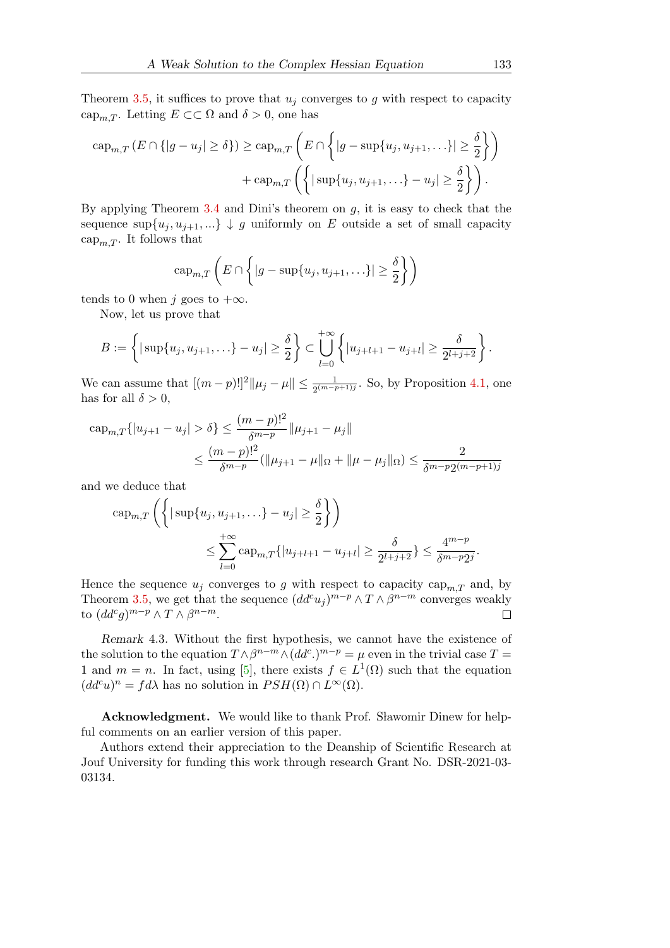Theorem [3.5,](#page-5-3) it suffices to prove that  $u_j$  converges to g with respect to capacity cap<sub>m,T</sub>. Letting  $E \subset\subset \Omega$  and  $\delta > 0$ , one has

$$
\operatorname{cap}_{m,T} (E \cap \{|g - u_j| \ge \delta\}) \ge \operatorname{cap}_{m,T} \left( E \cap \left\{|g - \sup\{u_j, u_{j+1}, \ldots\}| \ge \frac{\delta}{2}\right\}\right) + \operatorname{cap}_{m,T} \left(\left\{|\sup\{u_j, u_{j+1}, \ldots\} - u_j| \ge \frac{\delta}{2}\right\}\right).
$$

By applying Theorem [3.4](#page-5-1) and Dini's theorem on  $g$ , it is easy to check that the sequence  $\sup\{u_i, u_{i+1}, ...\} \downarrow g$  uniformly on E outside a set of small capacity cap<sub>m,T</sub>. It follows that

$$
\operatorname{cap}_{m,T}\left(E\cap\left\{|g-\sup\{u_j,u_{j+1},\ldots\}|\geq\frac{\delta}{2}\right\}\right)
$$

tends to 0 when j goes to  $+\infty$ .

Now, let us prove that

$$
B := \left\{ |\sup\{u_j, u_{j+1}, \ldots\} - u_j| \ge \frac{\delta}{2} \right\} \subset \bigcup_{l=0}^{+\infty} \left\{ |u_{j+l+1} - u_{j+l}| \ge \frac{\delta}{2^{l+j+2}} \right\}.
$$

We can assume that  $[(m-p)!]^2 || \mu_j - \mu \| \leq \frac{1}{2^{(m-p+1)j}}$ . So, by Proposition [4.1,](#page-12-0) one has for all  $\delta > 0$ ,

$$
\begin{aligned} \n\text{cap}_{m,T} \{|u_{j+1} - u_j| > \delta\} &\leq \frac{(m-p)!^2}{\delta^{m-p}} \|\mu_{j+1} - \mu_j\| \\ \n&\leq \frac{(m-p)!^2}{\delta^{m-p}} (\|\mu_{j+1} - \mu\|_{\Omega} + \|\mu - \mu_j\|_{\Omega}) \leq \frac{2}{\delta^{m-p} 2^{(m-p+1)j}} \n\end{aligned}
$$

and we deduce that

$$
\operatorname{cap}_{m,T} \left( \left\{ |\sup\{u_j, u_{j+1}, \ldots\} - u_j| \ge \frac{\delta}{2} \right\} \right)
$$
  

$$
\le \sum_{l=0}^{+\infty} \operatorname{cap}_{m,T} \{ |u_{j+l+1} - u_{j+l}| \ge \frac{\delta}{2^{l+j+2}} \} \le \frac{4^{m-p}}{\delta^{m-p} 2^j}.
$$

Hence the sequence  $u_i$  converges to g with respect to capacity cap<sub>m,T</sub> and, by Theorem [3.5,](#page-5-3) we get that the sequence  $(dd^c u_j)^{m-p}\wedge T\wedge\beta^{n-m}$  converges weakly to  $(dd^c g)^{m-p}\wedge T\wedge\beta^{n-m}.$  $\Box$ 

Remark 4.3. Without the first hypothesis, we cannot have the existence of the solution to the equation  $T \wedge \beta^{n-m} \wedge (dd^c)^{m-p} = \mu$  even in the trivial case  $T =$ 1 and  $m = n$ . In fact, using [\[5\]](#page-16-13), there exists  $f \in L^1(\Omega)$  such that the equation  $(dd^c u)^n = fd\lambda$  has no solution in  $PSH(\Omega) \cap L^{\infty}(\Omega)$ .

**Acknowledgment.** We would like to thank Prof. Slawomir Dinew for helpful comments on an earlier version of this paper.

Authors extend their appreciation to the Deanship of Scientific Research at Jouf University for funding this work through research Grant No. DSR-2021-03- 03134.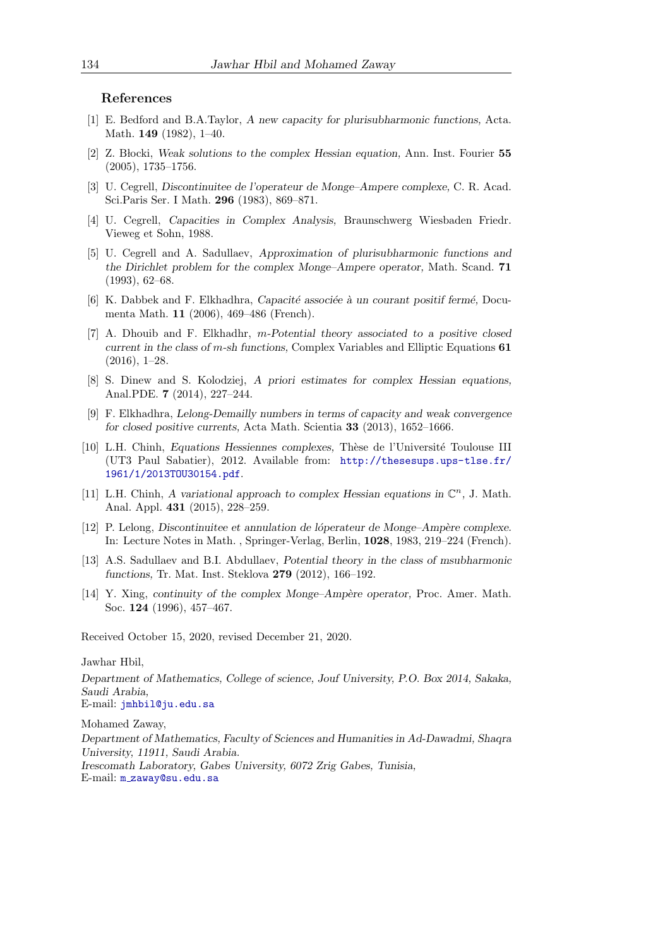#### References

- <span id="page-16-0"></span>[1] E. Bedford and B.A.Taylor, A new capacity for plurisubharmonic functions, Acta. Math. 149 (1982), 1–40.
- <span id="page-16-1"></span>[2] Z. B locki, Weak solutions to the complex Hessian equation, Ann. Inst. Fourier 55 (2005), 1735–1756.
- <span id="page-16-6"></span>[3] U. Cegrell, Discontinuitee de l'operateur de Monge–Ampere complexe, C. R. Acad. Sci.Paris Ser. I Math. 296 (1983), 869–871.
- <span id="page-16-11"></span>[4] U. Cegrell, Capacities in Complex Analysis, Braunschwerg Wiesbaden Friedr. Vieweg et Sohn, 1988.
- <span id="page-16-13"></span>[5] U. Cegrell and A. Sadullaev, Approximation of plurisubharmonic functions and the Dirichlet problem for the complex Monge–Ampere operator, Math. Scand. 71 (1993), 62–68.
- <span id="page-16-10"></span>[6] K. Dabbek and F. Elkhadhra, Capacité associée à un courant positif fermé, Documenta Math. 11 (2006), 469–486 (French).
- <span id="page-16-5"></span>[7] A. Dhouib and F. Elkhadhr, m-Potential theory associated to a positive closed current in the class of m-sh functions, Complex Variables and Elliptic Equations 61 (2016), 1–28.
- <span id="page-16-2"></span>[8] S. Dinew and S. Kolodziej, A priori estimates for complex Hessian equations, Anal.PDE. 7 (2014), 227–244.
- <span id="page-16-12"></span>[9] F. Elkhadhra, Lelong-Demailly numbers in terms of capacity and weak convergence for closed positive currents, Acta Math. Scientia 33 (2013), 1652–1666.
- <span id="page-16-3"></span>[10] L.H. Chinh, Equations Hessiennes complexes, Thèse de l'Université Toulouse III (UT3 Paul Sabatier), 2012. Available from: [http://thesesups.ups-tlse.fr/](http://thesesups.ups-tlse.fr/1961/1/2013TOU30154.pdf) [1961/1/2013TOU30154.pdf](http://thesesups.ups-tlse.fr/1961/1/2013TOU30154.pdf).
- <span id="page-16-9"></span>[11] L.H. Chinh, A variational approach to complex Hessian equations in  $\mathbb{C}^n$ , J. Math. Anal. Appl. 431 (2015), 228–259.
- <span id="page-16-7"></span>[12] P. Lelong, Discontinuitee et annulation de lóperateur de Monge–Ampère complexe. In: Lecture Notes in Math. , Springer-Verlag, Berlin, 1028, 1983, 219–224 (French).
- <span id="page-16-4"></span>[13] A.S. Sadullaev and B.I. Abdullaev, Potential theory in the class of msubharmonic functions, Tr. Mat. Inst. Steklova 279 (2012), 166–192.
- <span id="page-16-8"></span>[14] Y. Xing, continuity of the complex Monge–Ampère operator, Proc. Amer. Math. Soc. 124 (1996), 457–467.

Received October 15, 2020, revised December 21, 2020.

#### Jawhar Hbil,

Department of Mathematics, College of science, Jouf University, P.O. Box 2014, Sakaka, Saudi Arabia, E-mail: [jmhbil@ju.edu.sa](mailto:jmhbil@ju.edu.sa)

Mohamed Zaway,

Department of Mathematics, Faculty of Sciences and Humanities in Ad-Dawadmi, Shaqra University, 11911, Saudi Arabia. Irescomath Laboratory, Gabes University, 6072 Zrig Gabes, Tunisia, E-mail: m [zaway@su.edu.sa](mailto:m_zaway@su.edu.sa)